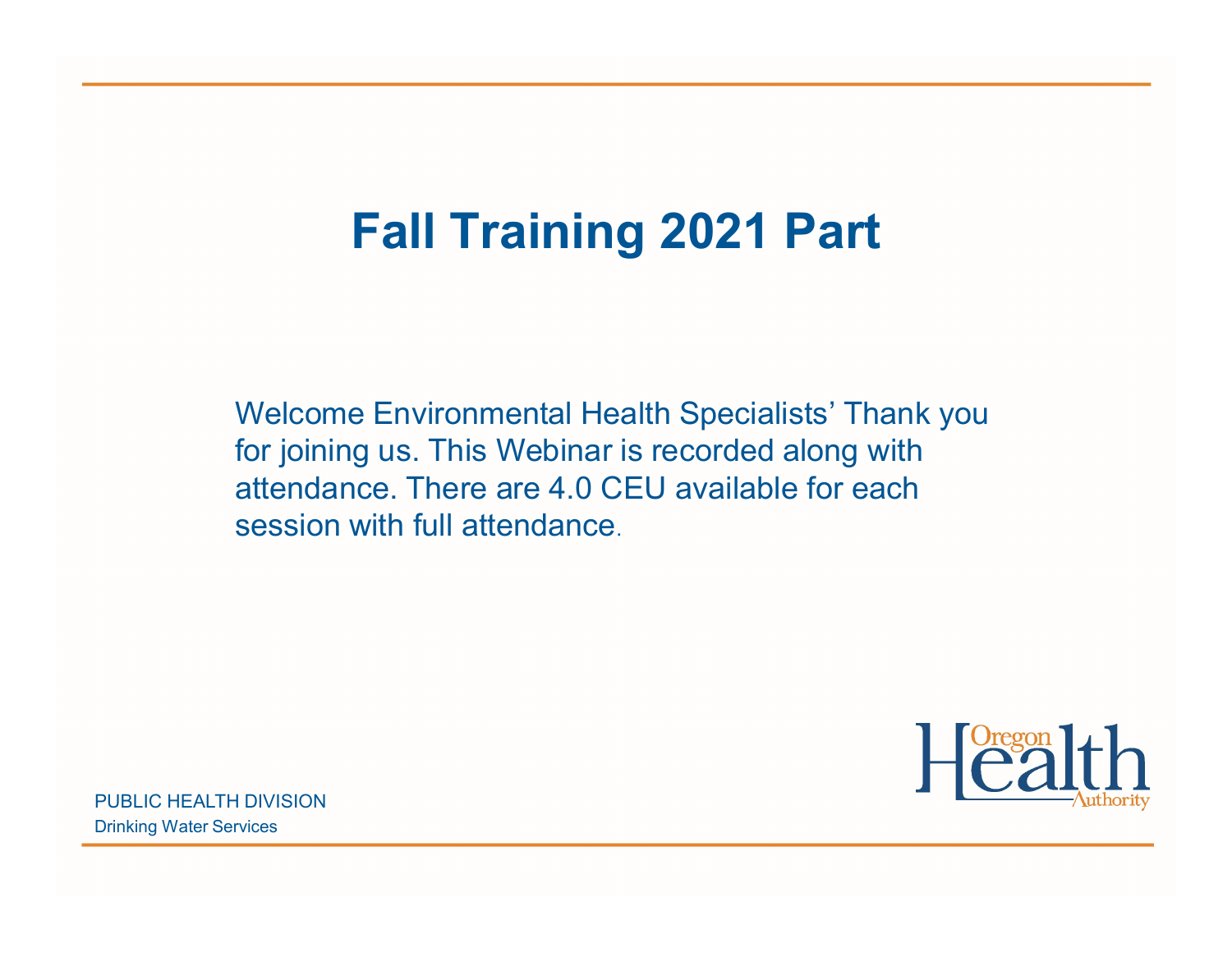## Fall Training 2021 Part

Welcome Environmental Health Specialists' Thank you for joining us. This Webinar is recorded along with attendance. There are 4.0 CEU available for each session with full attendance.



PUBLIC HEALTH DIVISION Drinking Water Services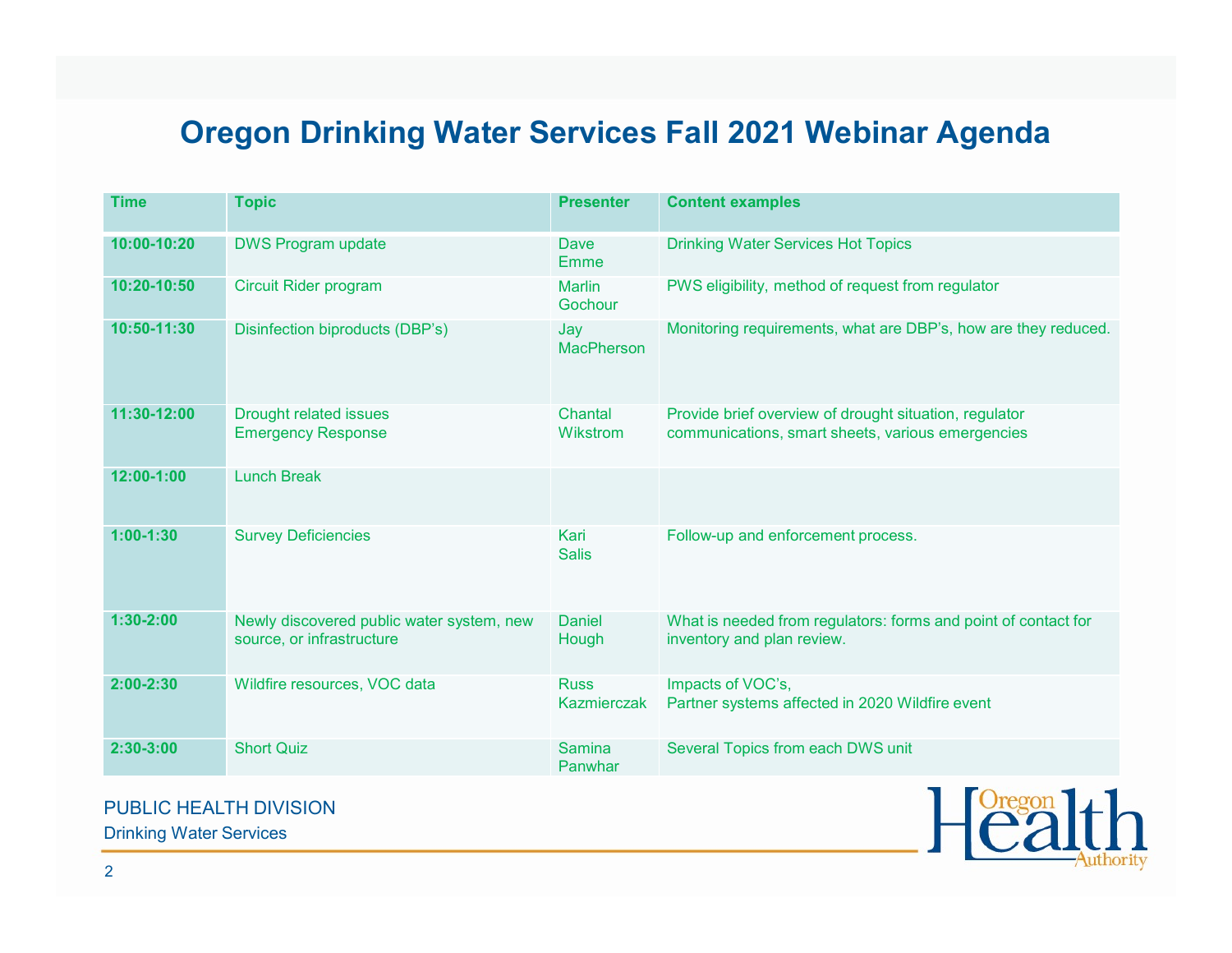## Oregon Drinking Water Services Fall 2021 Webinar Agenda

| <b>Oregon Drinking Water Services Fall 2021 Webinar Agenda</b> |                                                                        |                            |                                                                                                             |
|----------------------------------------------------------------|------------------------------------------------------------------------|----------------------------|-------------------------------------------------------------------------------------------------------------|
| <b>Time</b>                                                    | <b>Topic</b>                                                           | <b>Presenter</b>           | <b>Content examples</b>                                                                                     |
| 10:00-10:20                                                    | <b>DWS Program update</b>                                              | Dave<br>Emme               | <b>Drinking Water Services Hot Topics</b>                                                                   |
| 10:20-10:50                                                    | <b>Circuit Rider program</b>                                           | <b>Marlin</b><br>Gochour   | PWS eligibility, method of request from regulator                                                           |
| 10:50-11:30                                                    | Disinfection biproducts (DBP's)                                        | Jay<br><b>MacPherson</b>   | Monitoring requirements, what are DBP's, how are they reduced.                                              |
| 11:30-12:00                                                    | <b>Drought related issues</b><br><b>Emergency Response</b>             | Chantal<br>Wikstrom        | Provide brief overview of drought situation, regulator<br>communications, smart sheets, various emergencies |
| $12:00-1:00$                                                   | <b>Lunch Break</b>                                                     |                            |                                                                                                             |
| $1:00-1:30$                                                    | <b>Survey Deficiencies</b>                                             | Kari<br><b>Salis</b>       | Follow-up and enforcement process.                                                                          |
| $1:30-2:00$                                                    | Newly discovered public water system, new<br>source, or infrastructure | <b>Daniel</b><br>Hough     | What is needed from regulators: forms and point of contact for<br>inventory and plan review.                |
| $2:00 - 2:30$                                                  | Wildfire resources, VOC data                                           | <b>Russ</b><br>Kazmierczak | Impacts of VOC's,<br>Partner systems affected in 2020 Wildfire event                                        |
| $2:30-3:00$                                                    | <b>Short Quiz</b>                                                      | <b>Samina</b><br>Panwhar   | Several Topics from each DWS unit                                                                           |



Drinking Water Services

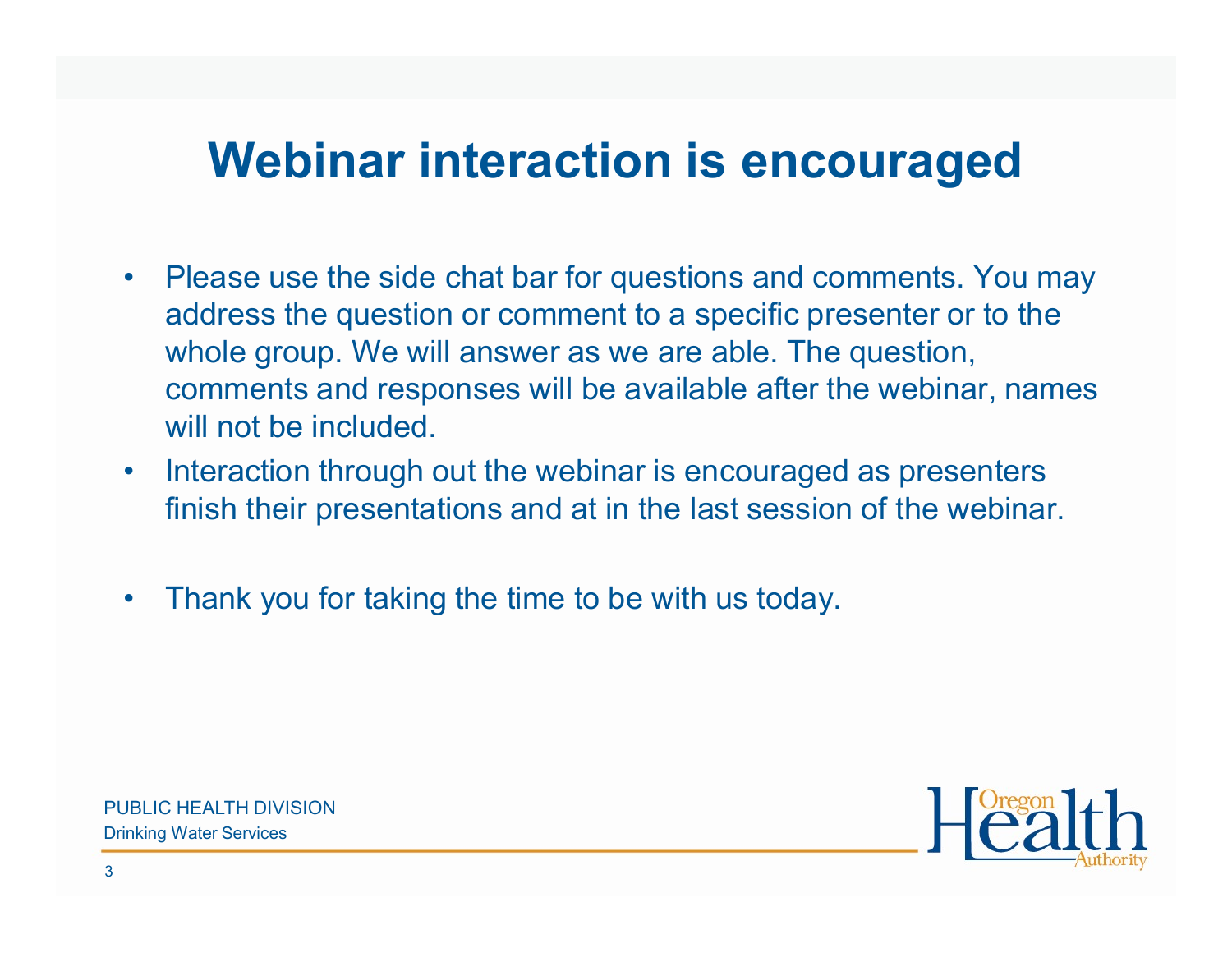## Webinar interaction is encouraged

- **Webinar interaction is encouraged**<br>• Please use the side chat bar for questions and comments. You may<br>address the question or comment to a specific presenter or to the<br>whole group. We will answer as we are able. The quest address the question or comment to a specific presenter or to the whole group. We will answer as we are able. The question, comments and responses will be available after the webinar, names will not be included. **Webinar interaction is encouraged**<br>• Please use the side chat bar for questions and comments. You may<br>address the question or comment to a specific presenter or to the<br>whole group. We will answer as we are able. The quest • Please use the side chat bar for questions and comments.<br>
address the question or comment to a specific presenter or<br>
whole group. We will answer as we are able. The question,<br>
comments and responses will be available af
- finish their presentations and at in the last session of the webinar.
-